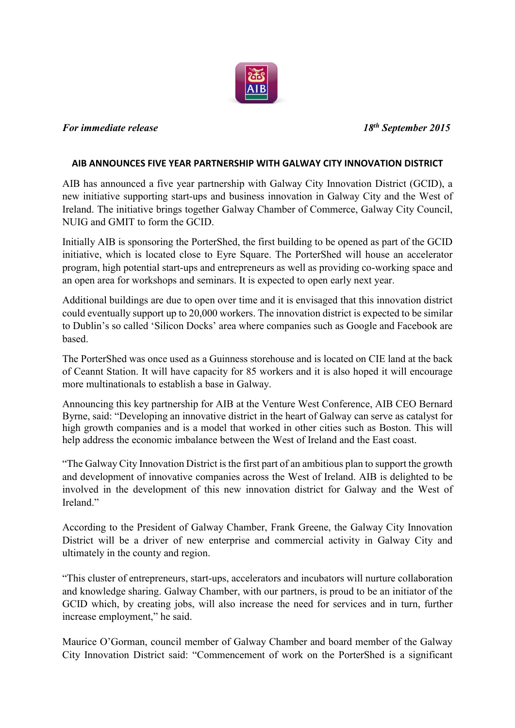

## *For immediate release 18th September 2015*

## **AIB ANNOUNCES FIVE YEAR PARTNERSHIP WITH GALWAY CITY INNOVATION DISTRICT**

AIB has announced a five year partnership with Galway City Innovation District (GCID), a new initiative supporting start-ups and business innovation in Galway City and the West of Ireland. The initiative brings together Galway Chamber of Commerce, Galway City Council, NUIG and GMIT to form the GCID.

Initially AIB is sponsoring the PorterShed, the first building to be opened as part of the GCID initiative, which is located close to Eyre Square. The PorterShed will house an accelerator program, high potential start-ups and entrepreneurs as well as providing co-working space and an open area for workshops and seminars. It is expected to open early next year.

Additional buildings are due to open over time and it is envisaged that this innovation district could eventually support up to 20,000 workers. The innovation district is expected to be similar to Dublin's so called 'Silicon Docks' area where companies such as Google and Facebook are based.

The PorterShed was once used as a Guinness storehouse and is located on CIE land at the back of Ceannt Station. It will have capacity for 85 workers and it is also hoped it will encourage more multinationals to establish a base in Galway.

Announcing this key partnership for AIB at the Venture West Conference, AIB CEO Bernard Byrne, said: "Developing an innovative district in the heart of Galway can serve as catalyst for high growth companies and is a model that worked in other cities such as Boston. This will help address the economic imbalance between the West of Ireland and the East coast.

"The Galway City Innovation District is the first part of an ambitious plan to support the growth and development of innovative companies across the West of Ireland. AIB is delighted to be involved in the development of this new innovation district for Galway and the West of Ireland<sup>"</sup>

According to the President of Galway Chamber, Frank Greene, the Galway City Innovation District will be a driver of new enterprise and commercial activity in Galway City and ultimately in the county and region.

"This cluster of entrepreneurs, start-ups, accelerators and incubators will nurture collaboration and knowledge sharing. Galway Chamber, with our partners, is proud to be an initiator of the GCID which, by creating jobs, will also increase the need for services and in turn, further increase employment," he said.

Maurice O'Gorman, council member of Galway Chamber and board member of the Galway City Innovation District said: "Commencement of work on the PorterShed is a significant